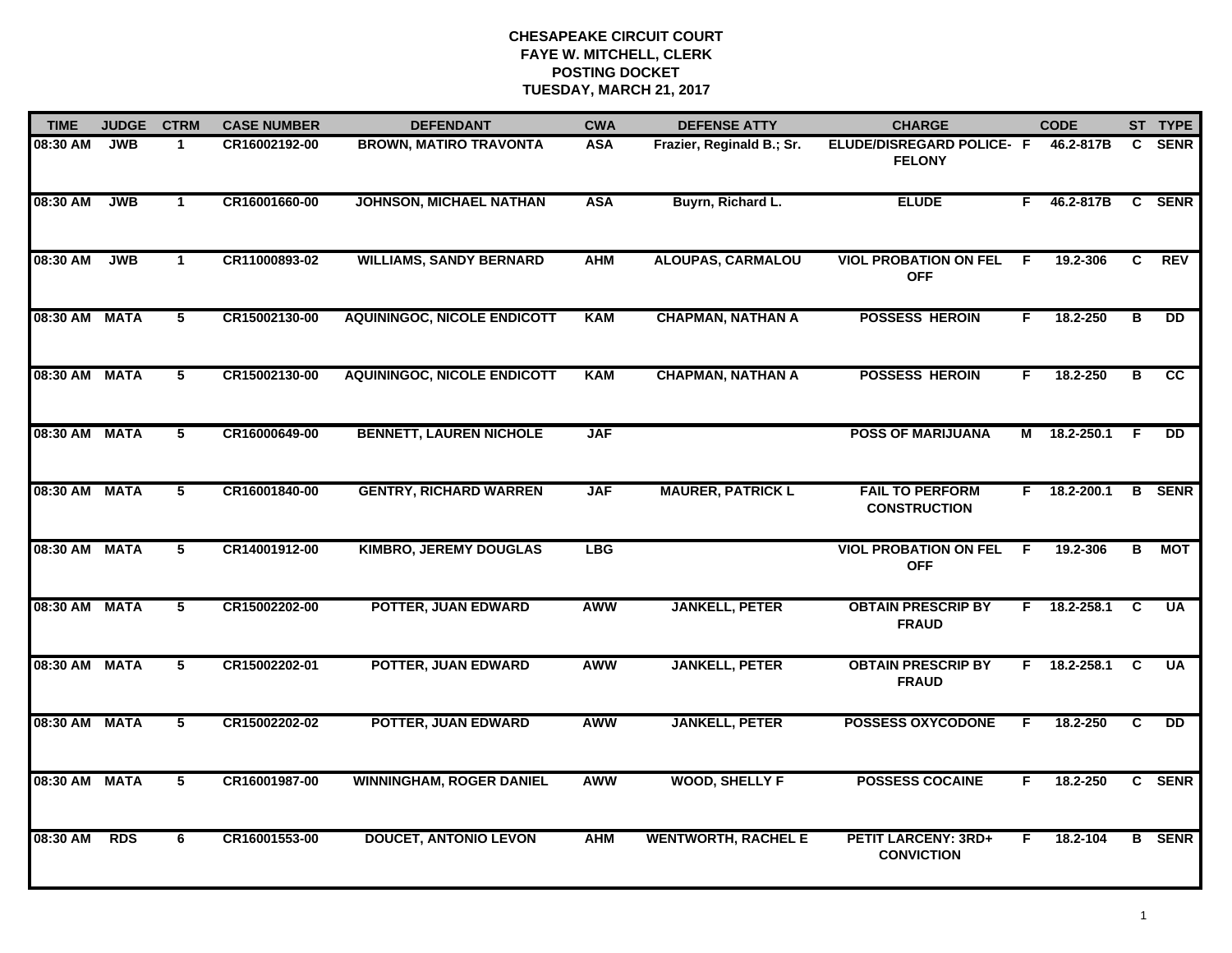| <b>TIME</b>   | <b>JUDGE</b> | <b>CTRM</b>    | <b>CASE NUMBER</b> | <b>DEFENDANT</b>                   | <b>CWA</b> | <b>DEFENSE ATTY</b>        | <b>CHARGE</b>                                   |    | <b>CODE</b>  |                | ST TYPE         |
|---------------|--------------|----------------|--------------------|------------------------------------|------------|----------------------------|-------------------------------------------------|----|--------------|----------------|-----------------|
| 08:30 AM      | <b>JWB</b>   | $\mathbf 1$    | CR16002192-00      | <b>BROWN, MATIRO TRAVONTA</b>      | <b>ASA</b> | Frazier, Reginald B.; Sr.  | ELUDE/DISREGARD POLICE- F<br><b>FELONY</b>      |    | 46.2-817B    | C.             | <b>SENR</b>     |
| 08:30 AM      | <b>JWB</b>   | $\mathbf{1}$   | CR16001660-00      | <b>JOHNSON, MICHAEL NATHAN</b>     | <b>ASA</b> | Buyrn, Richard L.          | <b>ELUDE</b>                                    | F. | 46.2-817B    | $\mathbf{c}$   | <b>SENR</b>     |
| 08:30 AM      | <b>JWB</b>   | $\mathbf{1}$   | CR11000893-02      | <b>WILLIAMS, SANDY BERNARD</b>     | <b>AHM</b> | <b>ALOUPAS, CARMALOU</b>   | <b>VIOL PROBATION ON FEL</b><br><b>OFF</b>      | -F | 19.2-306     | C              | REV             |
| 08:30 AM MATA |              | 5              | CR15002130-00      | <b>AQUININGOC, NICOLE ENDICOTT</b> | <b>KAM</b> | <b>CHAPMAN, NATHAN A</b>   | <b>POSSESS HEROIN</b>                           | F. | 18.2-250     | В              | <b>DD</b>       |
| 08:30 AM MATA |              | 5              | CR15002130-00      | <b>AQUININGOC, NICOLE ENDICOTT</b> | <b>KAM</b> | <b>CHAPMAN, NATHAN A</b>   | <b>POSSESS HEROIN</b>                           | F. | 18.2-250     | В              | cc              |
| 08:30 AM MATA |              | 5              | CR16000649-00      | <b>BENNETT, LAUREN NICHOLE</b>     | <b>JAF</b> |                            | <b>POSS OF MARIJUANA</b>                        |    | M 18.2-250.1 | - F            | <b>DD</b>       |
| 08:30 AM MATA |              | 5              | CR16001840-00      | <b>GENTRY, RICHARD WARREN</b>      | <b>JAF</b> | <b>MAURER, PATRICK L</b>   | <b>FAIL TO PERFORM</b><br><b>CONSTRUCTION</b>   | F. | 18.2-200.1   | $\overline{B}$ | <b>SENR</b>     |
| 08:30 AM MATA |              | 5              | CR14001912-00      | <b>KIMBRO, JEREMY DOUGLAS</b>      | <b>LBG</b> |                            | <b>VIOL PROBATION ON FEL</b><br><b>OFF</b>      | F  | 19.2-306     | в              | MOT             |
| 08:30 AM      | <b>MATA</b>  | 5              | CR15002202-00      | POTTER, JUAN EDWARD                | <b>AWW</b> | <b>JANKELL, PETER</b>      | <b>OBTAIN PRESCRIP BY</b><br><b>FRAUD</b>       | F  | 18.2-258.1   | C              | <b>UA</b>       |
| 08:30 AM MATA |              | 5              | CR15002202-01      | POTTER, JUAN EDWARD                | AWW        | <b>JANKELL, PETER</b>      | <b>OBTAIN PRESCRIP BY</b><br><b>FRAUD</b>       | F. | 18.2-258.1   | C              | <b>UA</b>       |
| 08:30 AM MATA |              | 5              | CR15002202-02      | POTTER, JUAN EDWARD                | <b>AWW</b> | <b>JANKELL, PETER</b>      | <b>POSSESS OXYCODONE</b>                        | F. | 18.2-250     | C              | $\overline{DD}$ |
| 08:30 AM MATA |              | $\overline{5}$ | CR16001987-00      | <b>WINNINGHAM, ROGER DANIEL</b>    | <b>AWW</b> | <b>WOOD, SHELLY F</b>      | <b>POSSESS COCAINE</b>                          | F  | 18.2-250     |                | C SENR          |
| 08:30 AM      | RDS          | 6              | CR16001553-00      | <b>DOUCET, ANTONIO LEVON</b>       | <b>AHM</b> | <b>WENTWORTH, RACHEL E</b> | <b>PETIT LARCENY: 3RD+</b><br><b>CONVICTION</b> | F. | 18.2-104     |                | <b>B</b> SENR   |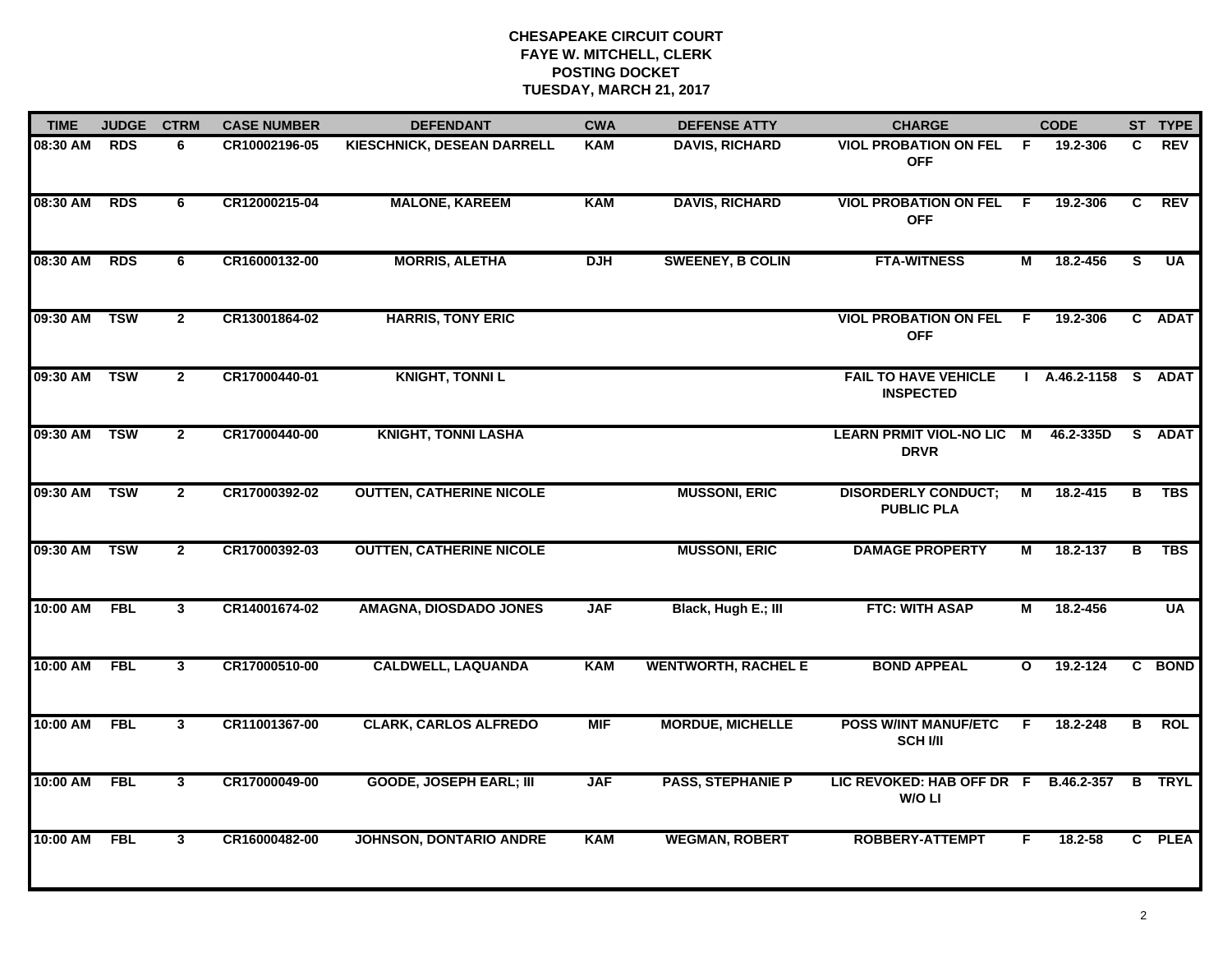| <b>TIME</b>  | <b>JUDGE</b> | <b>CTRM</b>    | <b>CASE NUMBER</b> | <b>DEFENDANT</b>                  | <b>CWA</b> | <b>DEFENSE ATTY</b>        | <b>CHARGE</b>                                   |                | <b>CODE</b>          |    | ST TYPE     |
|--------------|--------------|----------------|--------------------|-----------------------------------|------------|----------------------------|-------------------------------------------------|----------------|----------------------|----|-------------|
| 08:30 AM     | <b>RDS</b>   | 6              | CR10002196-05      | <b>KIESCHNICK, DESEAN DARRELL</b> | <b>KAM</b> | <b>DAVIS, RICHARD</b>      | <b>VIOL PROBATION ON FEL</b><br><b>OFF</b>      | - F            | 19.2-306             | C. | <b>REV</b>  |
| 08:30 AM     | <b>RDS</b>   | 6              | CR12000215-04      | <b>MALONE, KAREEM</b>             | <b>KAM</b> | <b>DAVIS, RICHARD</b>      | <b>VIOL PROBATION ON FEL</b><br><b>OFF</b>      | - F            | 19.2-306             | C  | <b>REV</b>  |
| 08:30 AM     | <b>RDS</b>   | 6              | CR16000132-00      | <b>MORRIS, ALETHA</b>             | <b>DJH</b> | <b>SWEENEY, B COLIN</b>    | <b>FTA-WITNESS</b>                              | $\overline{M}$ | 18.2-456             | s  | <b>UA</b>   |
| 09:30 AM     | <b>TSW</b>   | $\mathbf{2}$   | CR13001864-02      | <b>HARRIS, TONY ERIC</b>          |            |                            | <b>VIOL PROBATION ON FEL</b><br><b>OFF</b>      | F.             | 19.2-306             |    | C ADAT      |
| 09:30 AM TSW |              | $\mathbf{2}$   | CR17000440-01      | <b>KNIGHT, TONNIL</b>             |            |                            | <b>FAIL TO HAVE VEHICLE</b><br><b>INSPECTED</b> |                | I A.46.2-1158 S ADAT |    |             |
| 09:30 AM TSW |              | $\overline{2}$ | CR17000440-00      | <b>KNIGHT, TONNI LASHA</b>        |            |                            | <b>LEARN PRMIT VIOL-NO LIC M</b><br><b>DRVR</b> |                | 46.2-335D            |    | S ADAT      |
| 09:30 AM     | <b>TSW</b>   | $\overline{2}$ | CR17000392-02      | <b>OUTTEN, CATHERINE NICOLE</b>   |            | <b>MUSSONI, ERIC</b>       | <b>DISORDERLY CONDUCT;</b><br><b>PUBLIC PLA</b> | М              | 18.2-415             | В  | <b>TBS</b>  |
| 09:30 AM     | <b>TSW</b>   | $\overline{2}$ | CR17000392-03      | <b>OUTTEN, CATHERINE NICOLE</b>   |            | <b>MUSSONI, ERIC</b>       | <b>DAMAGE PROPERTY</b>                          | М              | 18.2-137             | в  | <b>TBS</b>  |
| 10:00 AM     | <b>FBL</b>   | $\mathbf{3}$   | CR14001674-02      | AMAGNA, DIOSDADO JONES            | <b>JAF</b> | Black, Hugh E.; III        | <b>FTC: WITH ASAP</b>                           | М              | 18.2-456             |    | <b>UA</b>   |
| 10:00 AM     | <b>FBL</b>   | $\mathbf{3}$   | CR17000510-00      | <b>CALDWELL, LAQUANDA</b>         | <b>KAM</b> | <b>WENTWORTH, RACHEL E</b> | <b>BOND APPEAL</b>                              | $\mathbf{o}$   | 19.2-124             |    | C BOND      |
| 10:00 AM FBL |              | $\mathbf{3}$   | CR11001367-00      | <b>CLARK, CARLOS ALFREDO</b>      | <b>MIF</b> | <b>MORDUE, MICHELLE</b>    | <b>POSS W/INT MANUF/ETC</b><br><b>SCH I/II</b>  | F.             | 18.2-248             | B  | <b>ROL</b>  |
| 10:00 AM     | <b>FBL</b>   | $\mathbf{3}$   | CR17000049-00      | <b>GOODE, JOSEPH EARL; III</b>    | <b>JAF</b> | <b>PASS, STEPHANIE P</b>   | LIC REVOKED: HAB OFF DR F<br>W/O LI             |                | B.46.2-357           | B  | <b>TRYL</b> |
| 10:00 AM     | <b>FBL</b>   | $\mathbf{3}$   | CR16000482-00      | <b>JOHNSON, DONTARIO ANDRE</b>    | <b>KAM</b> | <b>WEGMAN, ROBERT</b>      | <b>ROBBERY-ATTEMPT</b>                          | F              | 18.2-58              |    | C PLEA      |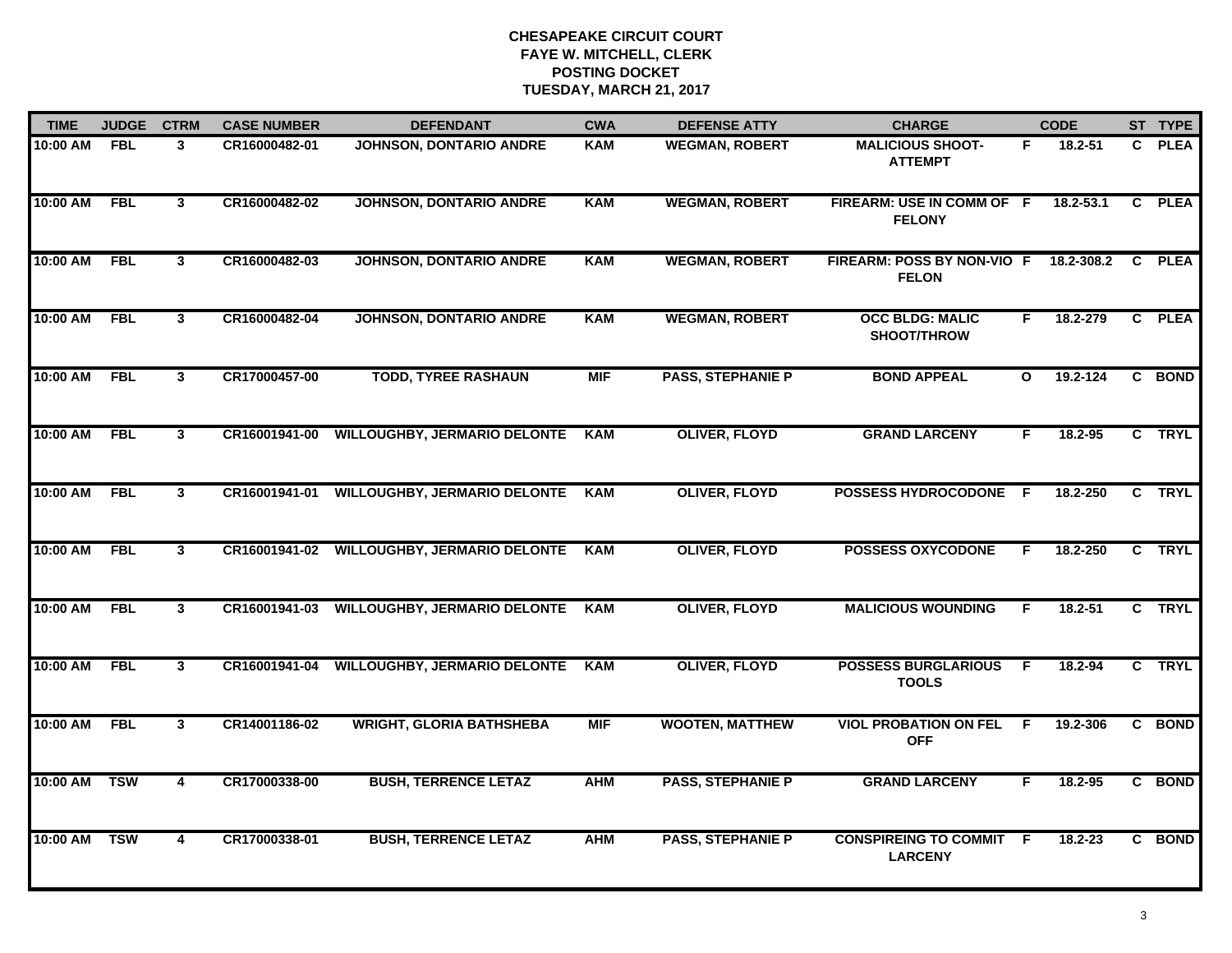| <b>TIME</b> | <b>JUDGE</b> | <b>CTRM</b>             | <b>CASE NUMBER</b> | <b>DEFENDANT</b>                           | <b>CWA</b> | <b>DEFENSE ATTY</b>      | <b>CHARGE</b>                                     |              | <b>CODE</b>   |              | ST TYPE     |
|-------------|--------------|-------------------------|--------------------|--------------------------------------------|------------|--------------------------|---------------------------------------------------|--------------|---------------|--------------|-------------|
| 10:00 AM    | <b>FBL</b>   | $\mathbf{3}$            | CR16000482-01      | JOHNSON, DONTARIO ANDRE                    | <b>KAM</b> | <b>WEGMAN, ROBERT</b>    | <b>MALICIOUS SHOOT-</b><br><b>ATTEMPT</b>         | F            | 18.2-51       | $\mathbf{c}$ | <b>PLEA</b> |
| 10:00 AM    | <b>FBL</b>   | $\overline{\mathbf{3}}$ | CR16000482-02      | <b>JOHNSON, DONTARIO ANDRE</b>             | <b>KAM</b> | <b>WEGMAN, ROBERT</b>    | FIREARM: USE IN COMM OF F<br><b>FELONY</b>        |              | $18.2 - 53.1$ |              | C PLEA      |
| 10:00 AM    | <b>FBL</b>   | $\overline{3}$          | CR16000482-03      | <b>JOHNSON, DONTARIO ANDRE</b>             | <b>KAM</b> | <b>WEGMAN, ROBERT</b>    | <b>FIREARM: POSS BY NON-VIO F</b><br><b>FELON</b> |              | 18.2-308.2    |              | C PLEA      |
| 10:00 AM    | <b>FBL</b>   | $\mathbf{3}$            | CR16000482-04      | <b>JOHNSON, DONTARIO ANDRE</b>             | <b>KAM</b> | <b>WEGMAN, ROBERT</b>    | <b>OCC BLDG: MALIC</b><br><b>SHOOT/THROW</b>      | F.           | 18.2-279      |              | C PLEA      |
| 10:00 AM    | <b>FBL</b>   | $\mathbf{3}$            | CR17000457-00      | <b>TODD, TYREE RASHAUN</b>                 | <b>MIF</b> | <b>PASS, STEPHANIE P</b> | <b>BOND APPEAL</b>                                | $\mathbf{o}$ | 19.2-124      |              | C BOND      |
| 10:00 AM    | <b>FBL</b>   | $\mathbf{3}$            | CR16001941-00      | <b>WILLOUGHBY, JERMARIO DELONTE</b>        | KAM        | <b>OLIVER, FLOYD</b>     | <b>GRAND LARCENY</b>                              | F.           | 18.2-95       |              | C TRYL      |
| 10:00 AM    | <b>FBL</b>   | $\mathbf{3}$            | CR16001941-01      | <b>WILLOUGHBY, JERMARIO DELONTE</b>        | KAM        | <b>OLIVER, FLOYD</b>     | POSSESS HYDROCODONE F                             |              | 18.2-250      |              | C TRYL      |
| 10:00 AM    | <b>FBL</b>   | $\overline{\mathbf{3}}$ |                    | CR16001941-02 WILLOUGHBY, JERMARIO DELONTE | <b>KAM</b> | <b>OLIVER, FLOYD</b>     | <b>POSSESS OXYCODONE</b>                          | F            | 18.2-250      |              | C TRYL      |
| 10:00 AM    | <b>FBL</b>   | $\mathbf{3}$            | CR16001941-03      | <b>WILLOUGHBY, JERMARIO DELONTE</b>        | KAM        | <b>OLIVER, FLOYD</b>     | <b>MALICIOUS WOUNDING</b>                         | F            | $18.2 - 51$   |              | C TRYL      |
| 10:00 AM    | <b>FBL</b>   | $\mathbf{3}$            | CR16001941-04      | <b>WILLOUGHBY, JERMARIO DELONTE</b>        | <b>KAM</b> | <b>OLIVER, FLOYD</b>     | <b>POSSESS BURGLARIOUS</b><br><b>TOOLS</b>        | E            | 18.2-94       |              | C TRYL      |
| 10:00 AM    | <b>FBL</b>   | $\mathbf{3}$            | CR14001186-02      | <b>WRIGHT, GLORIA BATHSHEBA</b>            | <b>MIF</b> | <b>WOOTEN, MATTHEW</b>   | <b>VIOL PROBATION ON FEL</b><br><b>OFF</b>        | -F           | 19.2-306      |              | C BOND      |
| 10:00 AM    | <b>TSW</b>   | $\overline{4}$          | CR17000338-00      | <b>BUSH, TERRENCE LETAZ</b>                | <b>AHM</b> | <b>PASS, STEPHANIE P</b> | <b>GRAND LARCENY</b>                              | F.           | 18.2-95       |              | C BOND      |
| 10:00 AM    | <b>TSW</b>   | $\overline{\mathbf{4}}$ | CR17000338-01      | <b>BUSH, TERRENCE LETAZ</b>                | <b>AHM</b> | <b>PASS, STEPHANIE P</b> | <b>CONSPIREING TO COMMIT F</b><br><b>LARCENY</b>  |              | $18.2 - 23$   |              | C BOND      |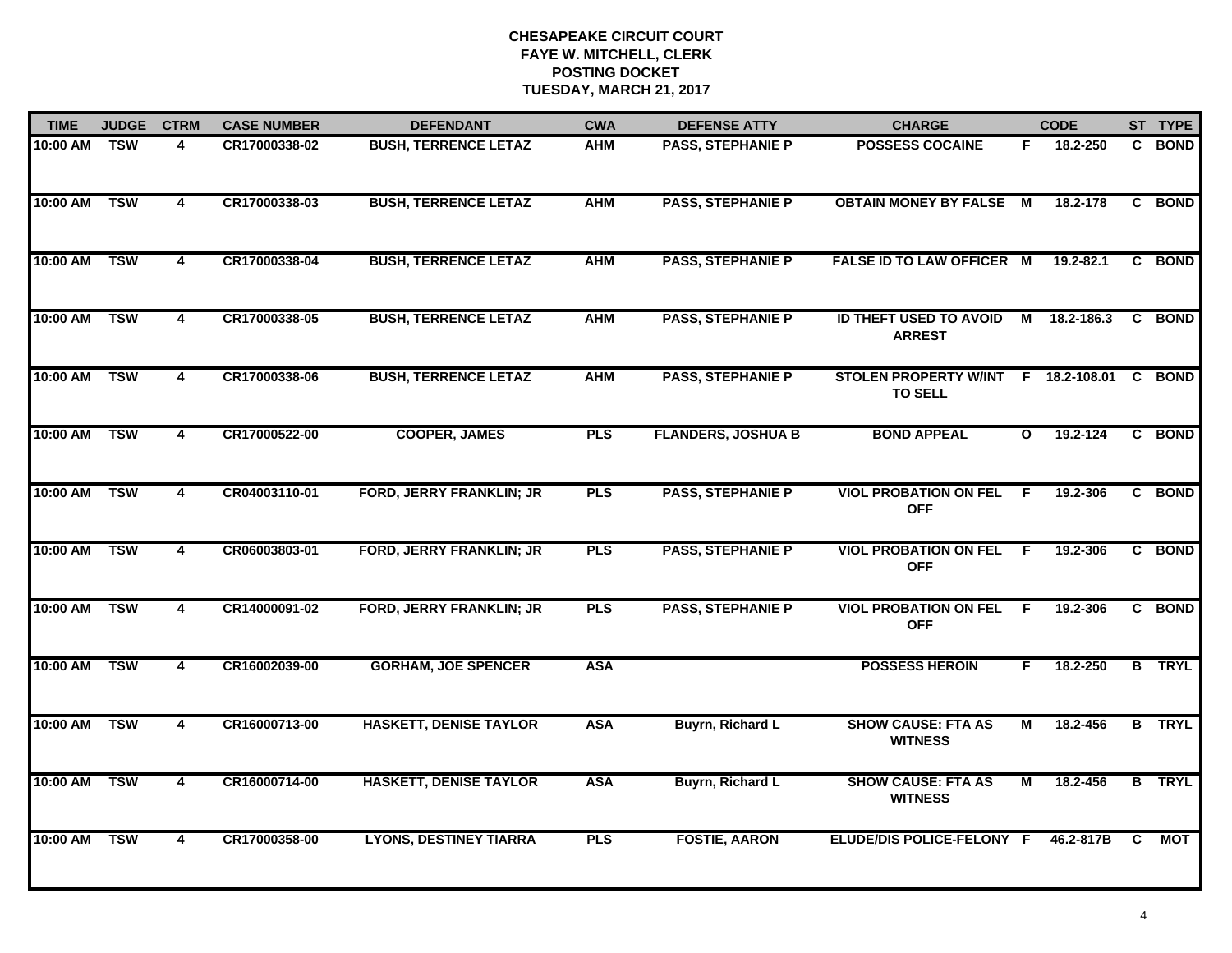| <b>TIME</b>  | <b>JUDGE</b> | <b>CTRM</b>    | <b>CASE NUMBER</b> | <b>DEFENDANT</b>                | <b>CWA</b> | <b>DEFENSE ATTY</b>       | <b>CHARGE</b>                                         |              | <b>CODE</b> |    | ST TYPE       |
|--------------|--------------|----------------|--------------------|---------------------------------|------------|---------------------------|-------------------------------------------------------|--------------|-------------|----|---------------|
| 10:00 AM     | <b>TSW</b>   | 4              | CR17000338-02      | <b>BUSH, TERRENCE LETAZ</b>     | <b>AHM</b> | <b>PASS, STEPHANIE P</b>  | <b>POSSESS COCAINE</b>                                | F.           | 18.2-250    |    | C BOND        |
| 10:00 AM     | <b>TSW</b>   | $\overline{4}$ | CR17000338-03      | <b>BUSH, TERRENCE LETAZ</b>     | <b>AHM</b> | <b>PASS, STEPHANIE P</b>  | <b>OBTAIN MONEY BY FALSE M</b>                        |              | 18.2-178    |    | C BOND        |
| 10:00 AM     | <b>TSW</b>   | $\overline{4}$ | CR17000338-04      | <b>BUSH, TERRENCE LETAZ</b>     | <b>AHM</b> | <b>PASS, STEPHANIE P</b>  | <b>FALSE ID TO LAW OFFICER M</b>                      |              | 19.2-82.1   |    | C BOND        |
| 10:00 AM     | <b>TSW</b>   | 4              | CR17000338-05      | <b>BUSH, TERRENCE LETAZ</b>     | <b>AHM</b> | <b>PASS, STEPHANIE P</b>  | ID THEFT USED TO AVOID M 18.2-186.3<br><b>ARREST</b>  |              |             |    | C BOND        |
| 10:00 AM     | <b>TSW</b>   | 4              | CR17000338-06      | <b>BUSH, TERRENCE LETAZ</b>     | <b>AHM</b> | <b>PASS, STEPHANIE P</b>  | STOLEN PROPERTY W/INT F 18.2-108.01<br><b>TO SELL</b> |              |             |    | C BOND        |
| 10:00 AM TSW |              | 4              | CR17000522-00      | <b>COOPER, JAMES</b>            | <b>PLS</b> | <b>FLANDERS, JOSHUA B</b> | <b>BOND APPEAL</b>                                    | $\mathbf{o}$ | 19.2-124    |    | C BOND        |
| 10:00 AM TSW |              | $\overline{4}$ | CR04003110-01      | FORD, JERRY FRANKLIN; JR        | <b>PLS</b> | <b>PASS, STEPHANIE P</b>  | <b>VIOL PROBATION ON FEL</b><br><b>OFF</b>            | - F          | 19.2-306    |    | C BOND        |
| 10:00 AM     | <b>TSW</b>   | $\overline{4}$ | CR06003803-01      | <b>FORD, JERRY FRANKLIN; JR</b> | <b>PLS</b> | <b>PASS, STEPHANIE P</b>  | <b>VIOL PROBATION ON FEL</b><br><b>OFF</b>            | F.           | 19.2-306    |    | C BOND        |
| 10:00 AM     | <b>TSW</b>   | 4              | CR14000091-02      | FORD, JERRY FRANKLIN; JR        | <b>PLS</b> | <b>PASS, STEPHANIE P</b>  | <b>VIOL PROBATION ON FEL</b><br><b>OFF</b>            | E            | 19.2-306    |    | C BOND        |
| 10:00 AM     | <b>TSW</b>   | 4              | CR16002039-00      | <b>GORHAM, JOE SPENCER</b>      | <b>ASA</b> |                           | <b>POSSESS HEROIN</b>                                 | F.           | 18.2-250    |    | <b>B</b> TRYL |
| 10:00 AM TSW |              | 4              | CR16000713-00      | <b>HASKETT, DENISE TAYLOR</b>   | <b>ASA</b> | Buyrn, Richard L          | <b>SHOW CAUSE: FTA AS</b><br><b>WITNESS</b>           | М            | 18.2-456    |    | <b>B</b> TRYL |
| 10:00 AM TSW |              | $\overline{4}$ | CR16000714-00      | <b>HASKETT, DENISE TAYLOR</b>   | <b>ASA</b> | <b>Buyrn, Richard L</b>   | <b>SHOW CAUSE: FTA AS</b><br><b>WITNESS</b>           | М            | 18.2-456    |    | <b>B</b> TRYL |
| 10:00 AM     | TSW          | $\overline{4}$ | CR17000358-00      | <b>LYONS, DESTINEY TIARRA</b>   | <b>PLS</b> | <b>FOSTIE, AARON</b>      | ELUDE/DIS POLICE-FELONY F                             |              | 46.2-817B   | C. | МОТ           |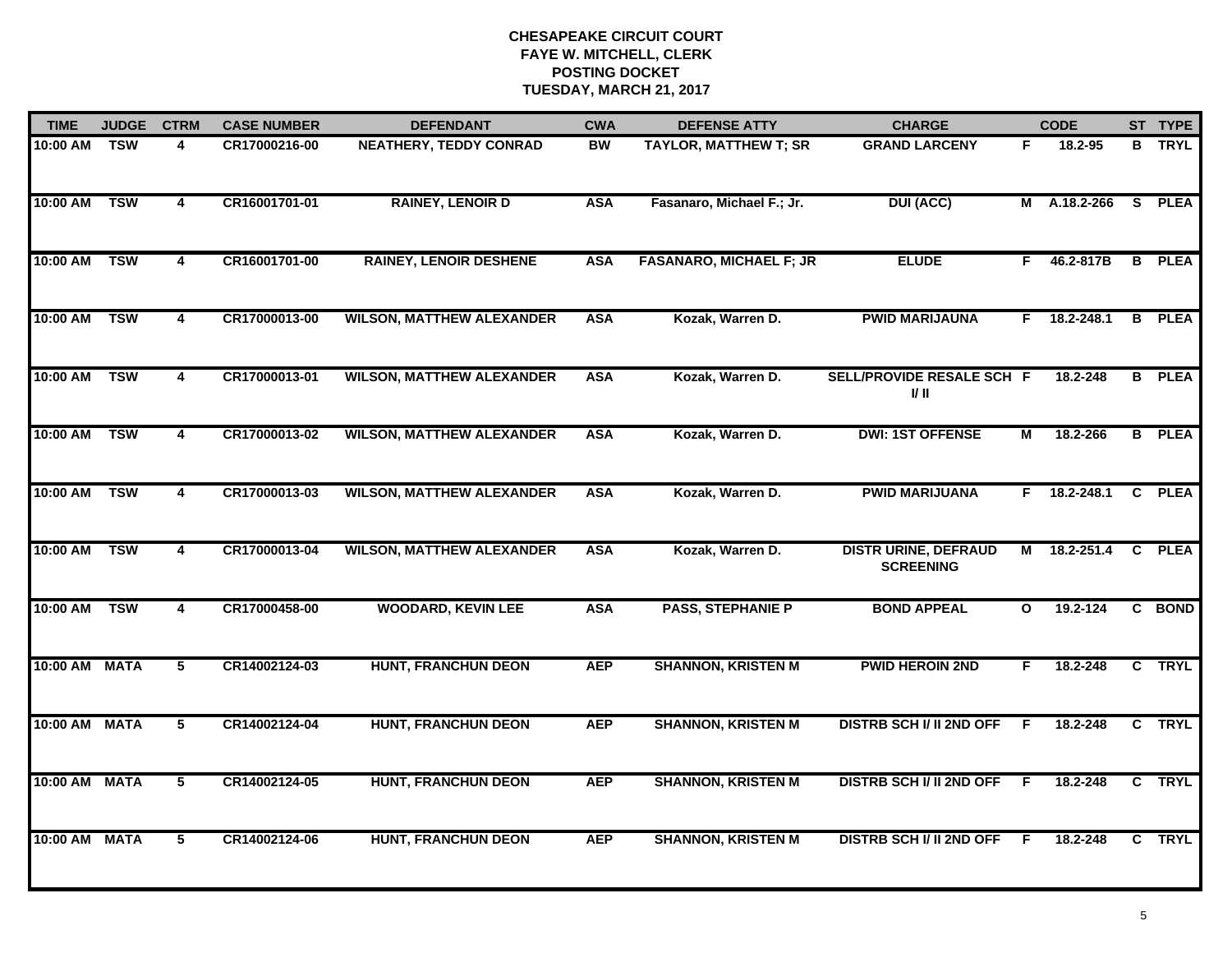| <b>TIME</b>   | <b>JUDGE</b> | <b>CTRM</b>    | <b>CASE NUMBER</b> | <b>DEFENDANT</b>                 | <b>CWA</b> | <b>DEFENSE ATTY</b>            | <b>CHARGE</b>                                   |              | <b>CODE</b>    |          | ST TYPE       |
|---------------|--------------|----------------|--------------------|----------------------------------|------------|--------------------------------|-------------------------------------------------|--------------|----------------|----------|---------------|
| 10:00 AM      | <b>TSW</b>   | 4              | CR17000216-00      | <b>NEATHERY, TEDDY CONRAD</b>    | BW         | <b>TAYLOR, MATTHEW T; SR</b>   | <b>GRAND LARCENY</b>                            | F.           | 18.2-95        |          | <b>B</b> TRYL |
| 10:00 AM      | <b>TSW</b>   | 4              | CR16001701-01      | <b>RAINEY, LENOIR D</b>          | <b>ASA</b> | Fasanaro, Michael F.; Jr.      | <b>DUI (ACC)</b>                                |              | M A.18.2-266   | <b>S</b> | <b>PLEA</b>   |
| 10:00 AM      | <b>TSW</b>   | 4              | CR16001701-00      | <b>RAINEY, LENOIR DESHENE</b>    | <b>ASA</b> | <b>FASANARO, MICHAEL F; JR</b> | <b>ELUDE</b>                                    | F.           | 46.2-817B      |          | <b>B</b> PLEA |
| 10:00 AM      | <b>TSW</b>   | 4              | CR17000013-00      | <b>WILSON, MATTHEW ALEXANDER</b> | <b>ASA</b> | Kozak, Warren D.               | <b>PWID MARIJAUNA</b>                           | F.           | 18.2-248.1     | B        | <b>PLEA</b>   |
| 10:00 AM      | <b>TSW</b>   | $\overline{4}$ | CR17000013-01      | <b>WILSON, MATTHEW ALEXANDER</b> | <b>ASA</b> | Kozak, Warren D.               | SELL/PROVIDE RESALE SCH F<br>I/ II              |              | 18.2-248       | B        | <b>PLEA</b>   |
| 10:00 AM      | TSW          | 4              | CR17000013-02      | <b>WILSON, MATTHEW ALEXANDER</b> | <b>ASA</b> | Kozak, Warren D.               | <b>DWI: 1ST OFFENSE</b>                         | М            | 18.2-266       |          | <b>B</b> PLEA |
| 10:00 AM      | <b>TSW</b>   | $\overline{4}$ | CR17000013-03      | <b>WILSON, MATTHEW ALEXANDER</b> | <b>ASA</b> | Kozak, Warren D.               | <b>PWID MARIJUANA</b>                           |              | $F$ 18.2-248.1 |          | C PLEA        |
| 10:00 AM      | <b>TSW</b>   | 4              | CR17000013-04      | <b>WILSON, MATTHEW ALEXANDER</b> | <b>ASA</b> | Kozak, Warren D.               | <b>DISTR URINE, DEFRAUD</b><br><b>SCREENING</b> |              | M 18.2-251.4   |          | C PLEA        |
| 10:00 AM      | <b>TSW</b>   | 4              | CR17000458-00      | <b>WOODARD, KEVIN LEE</b>        | <b>ASA</b> | <b>PASS, STEPHANIE P</b>       | <b>BOND APPEAL</b>                              | $\mathbf{o}$ | 19.2-124       |          | C BOND        |
| 10:00 AM MATA |              | $5^{\circ}$    | CR14002124-03      | <b>HUNT, FRANCHUN DEON</b>       | <b>AEP</b> | <b>SHANNON, KRISTEN M</b>      | <b>PWID HEROIN 2ND</b>                          | F            | 18.2-248       |          | C TRYL        |
| 10:00 AM MATA |              | $\overline{5}$ | CR14002124-04      | <b>HUNT, FRANCHUN DEON</b>       | <b>AEP</b> | <b>SHANNON, KRISTEN M</b>      | <b>DISTRB SCH I/ II 2ND OFF</b>                 | -F.          | 18.2-248       |          | C TRYL        |
| 10:00 AM      | <b>MATA</b>  | 5              | CR14002124-05      | <b>HUNT, FRANCHUN DEON</b>       | <b>AEP</b> | <b>SHANNON, KRISTEN M</b>      | <b>DISTRB SCH I/ II 2ND OFF</b>                 | F.           | 18.2-248       |          | C TRYL        |
| 10:00 AM      | <b>MATA</b>  | 5              | CR14002124-06      | <b>HUNT, FRANCHUN DEON</b>       | <b>AEP</b> | <b>SHANNON, KRISTEN M</b>      | <b>DISTRB SCH I/ II 2ND OFF</b>                 | F.           | 18.2-248       | C.       | <b>TRYL</b>   |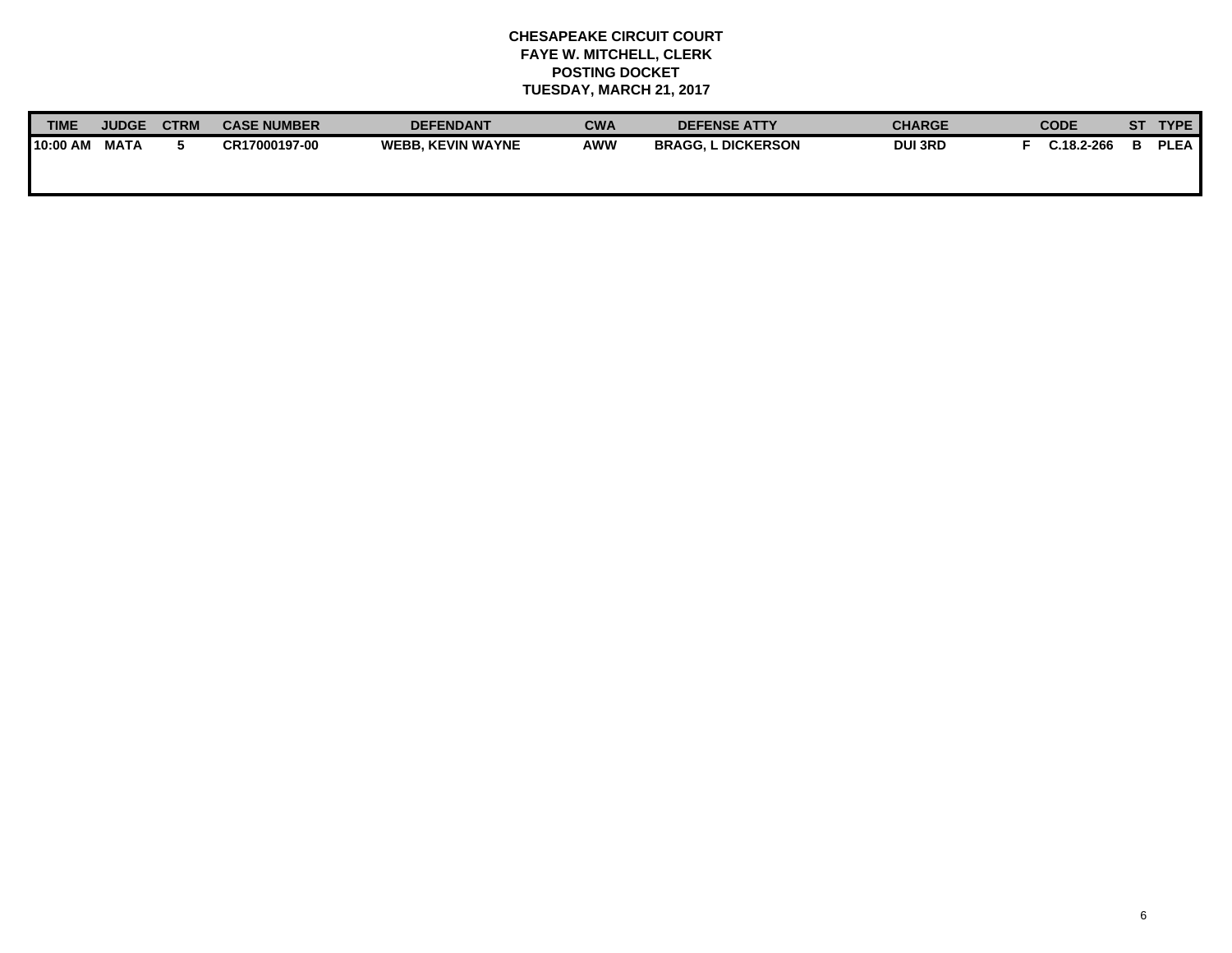| <b>TIME</b> | <b>JUDGE</b> | <b>CTRN</b> | <b>CASE NUMBER</b> | <b>DEFENDANT</b>         | <b>CWA</b> | <b>DEFENSE ATTY</b>       | <b>CHARGE</b> | <b>CODE</b>    | SТ | <b>TYPE</b> |
|-------------|--------------|-------------|--------------------|--------------------------|------------|---------------------------|---------------|----------------|----|-------------|
| 10:00 AM    | <b>MATA</b>  |             | CR17000197-00      | <b>WEBB. KEVIN WAYNE</b> | <b>AWW</b> | <b>BRAGG, L DICKERSON</b> | <b>DUI3RD</b> | $C.18.2 - 266$ |    | <b>PLEA</b> |
|             |              |             |                    |                          |            |                           |               |                |    |             |